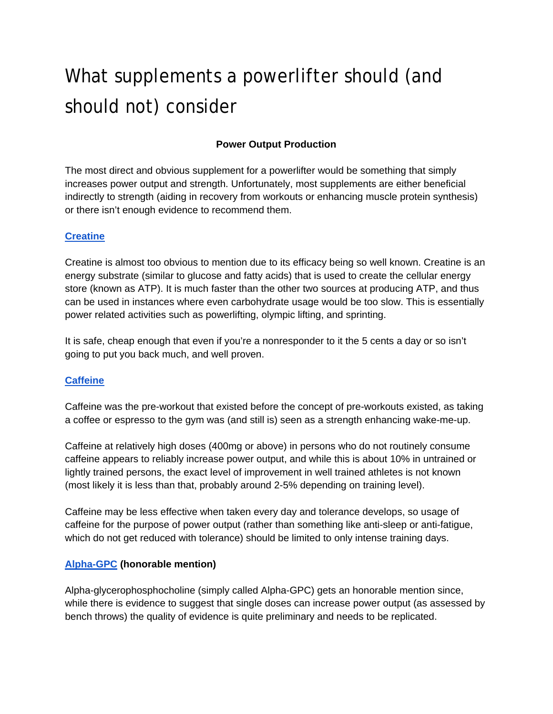# What supplements a powerlifter should (and should not) consider

# **Power Output Production**

The most direct and obvious supplement for a powerlifter would be something that simply increases power output and strength. Unfortunately, most supplements are either beneficial indirectly to strength (aiding in recovery from workouts or enhancing muscle protein synthesis) or there isn't enough evidence to recommend them.

## **[Creatine](http://examine.com/supplements/Creatine/)**

Creatine is almost too obvious to mention due to its efficacy being so well known. Creatine is an energy substrate (similar to glucose and fatty acids) that is used to create the cellular energy store (known as ATP). It is much faster than the other two sources at producing ATP, and thus can be used in instances where even carbohydrate usage would be too slow. This is essentially power related activities such as powerlifting, olympic lifting, and sprinting.

It is safe, cheap enough that even if you're a nonresponder to it the 5 cents a day or so isn't going to put you back much, and well proven.

#### **[Caffeine](http://examine.com/supplements/Caffeine/)**

Caffeine was the pre-workout that existed before the concept of pre-workouts existed, as taking a coffee or espresso to the gym was (and still is) seen as a strength enhancing wake-me-up.

Caffeine at relatively high doses (400mg or above) in persons who do not routinely consume caffeine appears to reliably increase power output, and while this is about 10% in untrained or lightly trained persons, the exact level of improvement in well trained athletes is not known (most likely it is less than that, probably around 2-5% depending on training level).

Caffeine may be less effective when taken every day and tolerance develops, so usage of caffeine for the purpose of power output (rather than something like anti-sleep or anti-fatigue, which do not get reduced with tolerance) should be limited to only intense training days.

#### **[Alpha-GPC](http://examine.com/supplements/Alpha-GPC/) (honorable mention)**

Alpha-glycerophosphocholine (simply called Alpha-GPC) gets an honorable mention since, while there is evidence to suggest that single doses can increase power output (as assessed by bench throws) the quality of evidence is quite preliminary and needs to be replicated.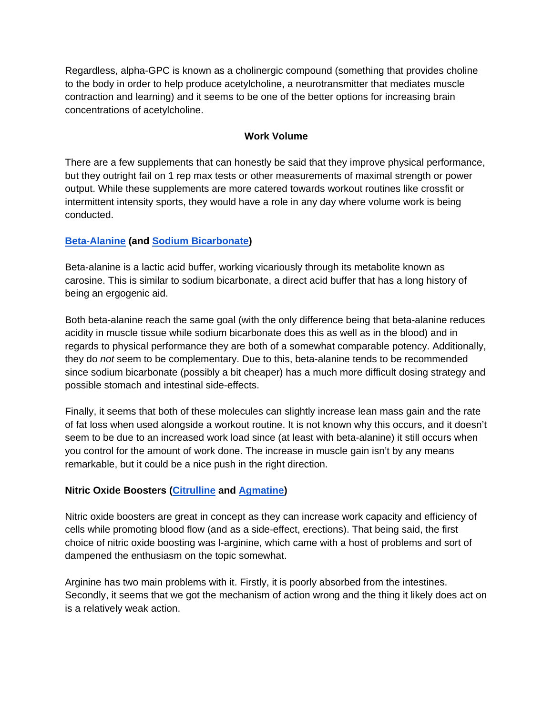Regardless, alpha-GPC is known as a cholinergic compound (something that provides choline to the body in order to help produce acetylcholine, a neurotransmitter that mediates muscle contraction and learning) and it seems to be one of the better options for increasing brain concentrations of acetylcholine.

## **Work Volume**

There are a few supplements that can honestly be said that they improve physical performance, but they outright fail on 1 rep max tests or other measurements of maximal strength or power output. While these supplements are more catered towards workout routines like crossfit or intermittent intensity sports, they would have a role in any day where volume work is being conducted.

## **[Beta-Alanine](https://examine.com/supplements/Beta-Alanine/) (and [Sodium Bicarbonate\)](http://examine.com/supplements/Sodium+Bicarbonate/)**

Beta-alanine is a lactic acid buffer, working vicariously through its metabolite known as carosine. This is similar to sodium bicarbonate, a direct acid buffer that has a long history of being an ergogenic aid.

Both beta-alanine reach the same goal (with the only difference being that beta-alanine reduces acidity in muscle tissue while sodium bicarbonate does this as well as in the blood) and in regards to physical performance they are both of a somewhat comparable potency. Additionally, they do *not* seem to be complementary. Due to this, beta-alanine tends to be recommended since sodium bicarbonate (possibly a bit cheaper) has a much more difficult dosing strategy and possible stomach and intestinal side-effects.

Finally, it seems that both of these molecules can slightly increase lean mass gain and the rate of fat loss when used alongside a workout routine. It is not known why this occurs, and it doesn't seem to be due to an increased work load since (at least with beta-alanine) it still occurs when you control for the amount of work done. The increase in muscle gain isn't by any means remarkable, but it could be a nice push in the right direction.

#### **Nitric Oxide Boosters [\(Citrulline](http://examine.com/supplements/Citrulline/) and [Agmatine\)](http://examine.com/supplements/Agmatine/)**

Nitric oxide boosters are great in concept as they can increase work capacity and efficiency of cells while promoting blood flow (and as a side-effect, erections). That being said, the first choice of nitric oxide boosting was l-arginine, which came with a host of problems and sort of dampened the enthusiasm on the topic somewhat.

Arginine has two main problems with it. Firstly, it is poorly absorbed from the intestines. Secondly, it seems that we got the mechanism of action wrong and the thing it likely does act on is a relatively weak action.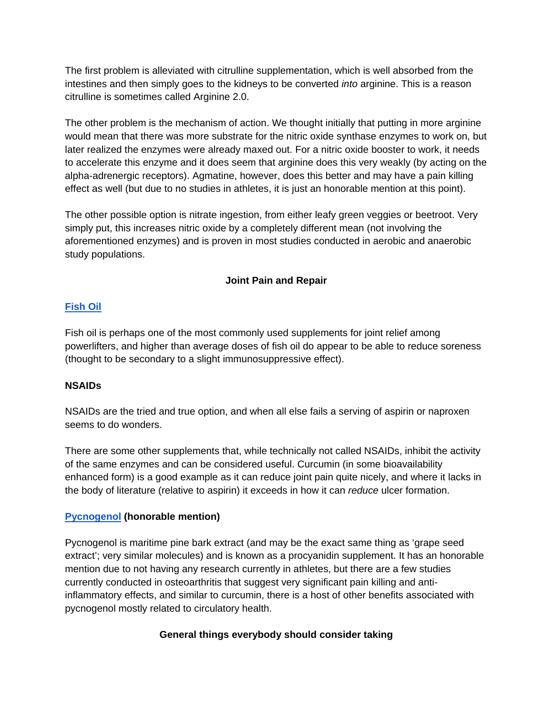The first problem is alleviated with citrulline supplementation, which is well absorbed from the intestines and then simply goes to the kidneys to be converted *into* arginine. This is a reason citrulline is sometimes called Arginine 2.0.

The other problem is the mechanism of action. We thought initially that putting in more arginine would mean that there was more substrate for the nitric oxide synthase enzymes to work on, but later realized the enzymes were already maxed out. For a nitric oxide booster to work, it needs to accelerate this enzyme and it does seem that arginine does this very weakly (by acting on the alpha-adrenergic receptors). Agmatine, however, does this better and may have a pain killing effect as well (but due to no studies in athletes, it is just an honorable mention at this point).

The other possible option is nitrate ingestion, from either leafy green veggies or beetroot. Very simply put, this increases nitric oxide by a completely different mean (not involving the aforementioned enzymes) and is proven in most studies conducted in aerobic and anaerobic study populations.

# **Joint Pain and Repair**

## **[Fish Oil](http://examine.com/supplements/Fish+Oil/)**

Fish oil is perhaps one of the most commonly used supplements for joint relief among powerlifters, and higher than average doses of fish oil do appear to be able to reduce soreness (thought to be secondary to a slight immunosuppressive effect).

## **NSAIDs**

NSAIDs are the tried and true option, and when all else fails a serving of aspirin or naproxen seems to do wonders.

There are some other supplements that, while technically not called NSAIDs, inhibit the activity of the same enzymes and can be considered useful. Curcumin (in some bioavailability enhanced form) is a good example as it can reduce joint pain quite nicely, and where it lacks in the body of literature (relative to aspirin) it exceeds in how it can *reduce* ulcer formation.

## **[Pycnogenol](http://examine.com/supplements/Pycnogenol/) (honorable mention)**

Pycnogenol is maritime pine bark extract (and may be the exact same thing as 'grape seed extract'; very similar molecules) and is known as a procyanidin supplement. It has an honorable mention due to not having any research currently in athletes, but there are a few studies currently conducted in osteoarthritis that suggest very significant pain killing and antiinflammatory effects, and similar to curcumin, there is a host of other benefits associated with pycnogenol mostly related to circulatory health.

# **General things everybody should consider taking**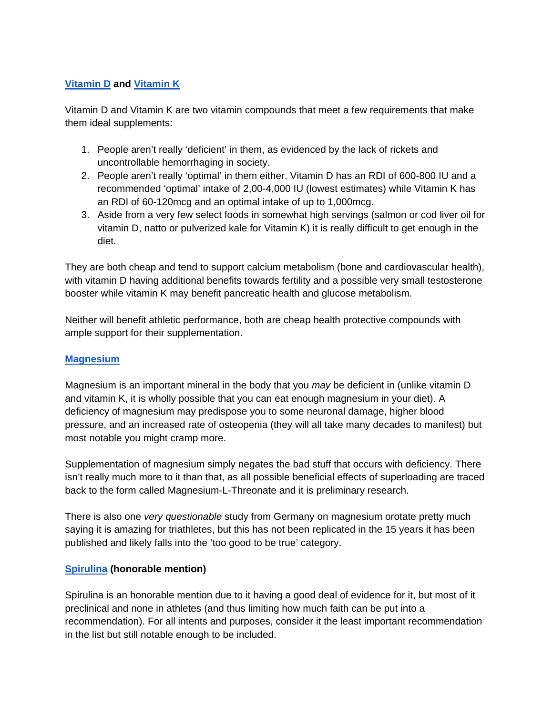## **[Vitamin D](http://examine.com/supplements/Vitamin+D/) and [Vitamin K](http://examine.com/supplements/Vitamin+K/)**

Vitamin D and Vitamin K are two vitamin compounds that meet a few requirements that make them ideal supplements:

- 1. People aren't really 'deficient' in them, as evidenced by the lack of rickets and uncontrollable hemorrhaging in society.
- 2. People aren't really 'optimal' in them either. Vitamin D has an RDI of 600-800 IU and a recommended 'optimal' intake of 2,00-4,000 IU (lowest estimates) while Vitamin K has an RDI of 60-120mcg and an optimal intake of up to 1,000mcg.
- 3. Aside from a very few select foods in somewhat high servings (salmon or cod liver oil for vitamin D, natto or pulverized kale for Vitamin K) it is really difficult to get enough in the diet.

They are both cheap and tend to support calcium metabolism (bone and cardiovascular health), with vitamin D having additional benefits towards fertility and a possible very small testosterone booster while vitamin K may benefit pancreatic health and glucose metabolism.

Neither will benefit athletic performance, both are cheap health protective compounds with ample support for their supplementation.

#### **[Magnesium](http://examine.com/supplements/Magnesium/)**

Magnesium is an important mineral in the body that you *may* be deficient in (unlike vitamin D and vitamin K, it is wholly possible that you can eat enough magnesium in your diet). A deficiency of magnesium may predispose you to some neuronal damage, higher blood pressure, and an increased rate of osteopenia (they will all take many decades to manifest) but most notable you might cramp more.

Supplementation of magnesium simply negates the bad stuff that occurs with deficiency. There isn't really much more to it than that, as all possible beneficial effects of superloading are traced back to the form called Magnesium-L-Threonate and it is preliminary research.

There is also one *very questionable* study from Germany on magnesium orotate pretty much saying it is amazing for triathletes, but this has not been replicated in the 15 years it has been published and likely falls into the 'too good to be true' category.

#### **[Spirulina](http://examine.com/supplements/Spirulina/) (honorable mention)**

Spirulina is an honorable mention due to it having a good deal of evidence for it, but most of it preclinical and none in athletes (and thus limiting how much faith can be put into a recommendation). For all intents and purposes, consider it the least important recommendation in the list but still notable enough to be included.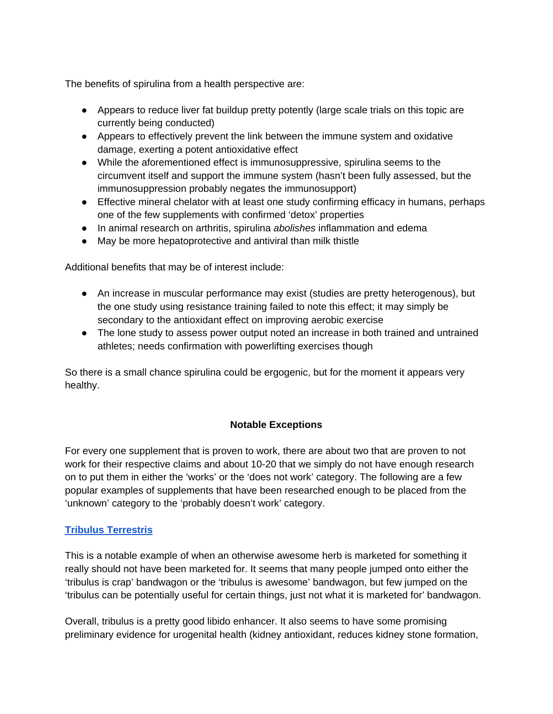The benefits of spirulina from a health perspective are:

- Appears to reduce liver fat buildup pretty potently (large scale trials on this topic are currently being conducted)
- Appears to effectively prevent the link between the immune system and oxidative damage, exerting a potent antioxidative effect
- While the aforementioned effect is immunosuppressive, spirulina seems to the circumvent itself and support the immune system (hasn't been fully assessed, but the immunosuppression probably negates the immunosupport)
- Effective mineral chelator with at least one study confirming efficacy in humans, perhaps one of the few supplements with confirmed 'detox' properties
- In animal research on arthritis, spirulina *abolishes* inflammation and edema
- May be more hepatoprotective and antiviral than milk thistle

Additional benefits that may be of interest include:

- An increase in muscular performance may exist (studies are pretty heterogenous), but the one study using resistance training failed to note this effect; it may simply be secondary to the antioxidant effect on improving aerobic exercise
- The lone study to assess power output noted an increase in both trained and untrained athletes; needs confirmation with powerlifting exercises though

So there is a small chance spirulina could be ergogenic, but for the moment it appears very healthy.

#### **Notable Exceptions**

For every one supplement that is proven to work, there are about two that are proven to not work for their respective claims and about 10-20 that we simply do not have enough research on to put them in either the 'works' or the 'does not work' category. The following are a few popular examples of supplements that have been researched enough to be placed from the 'unknown' category to the 'probably doesn't work' category.

#### **[Tribulus Terrestris](http://examine.com/supplements/Tribulus+Terrestris/)**

This is a notable example of when an otherwise awesome herb is marketed for something it really should not have been marketed for. It seems that many people jumped onto either the 'tribulus is crap' bandwagon or the 'tribulus is awesome' bandwagon, but few jumped on the 'tribulus can be potentially useful for certain things, just not what it is marketed for' bandwagon.

Overall, tribulus is a pretty good libido enhancer. It also seems to have some promising preliminary evidence for urogenital health (kidney antioxidant, reduces kidney stone formation,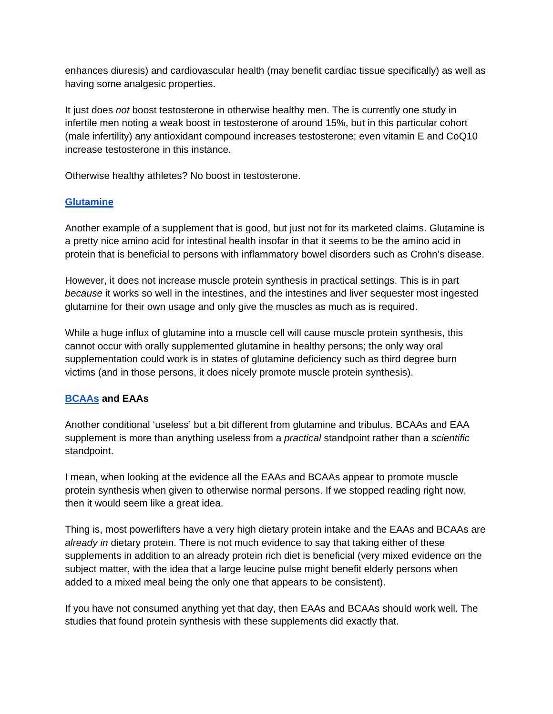enhances diuresis) and cardiovascular health (may benefit cardiac tissue specifically) as well as having some analgesic properties.

It just does *not* boost testosterone in otherwise healthy men. The is currently one study in infertile men noting a weak boost in testosterone of around 15%, but in this particular cohort (male infertility) any antioxidant compound increases testosterone; even vitamin E and CoQ10 increase testosterone in this instance.

Otherwise healthy athletes? No boost in testosterone.

## **[Glutamine](http://examine.com/supplements/Glutamine/)**

Another example of a supplement that is good, but just not for its marketed claims. Glutamine is a pretty nice amino acid for intestinal health insofar in that it seems to be the amino acid in protein that is beneficial to persons with inflammatory bowel disorders such as Crohn's disease.

However, it does not increase muscle protein synthesis in practical settings. This is in part *because* it works so well in the intestines, and the intestines and liver sequester most ingested glutamine for their own usage and only give the muscles as much as is required.

While a huge influx of glutamine into a muscle cell will cause muscle protein synthesis, this cannot occur with orally supplemented glutamine in healthy persons; the only way oral supplementation could work is in states of glutamine deficiency such as third degree burn victims (and in those persons, it does nicely promote muscle protein synthesis).

## **[BCAAs](http://examine.com/supplements/Branched+Chain+Amino+Acids/) and EAAs**

Another conditional 'useless' but a bit different from glutamine and tribulus. BCAAs and EAA supplement is more than anything useless from a *practical* standpoint rather than a *scientific*  standpoint.

I mean, when looking at the evidence all the EAAs and BCAAs appear to promote muscle protein synthesis when given to otherwise normal persons. If we stopped reading right now, then it would seem like a great idea.

Thing is, most powerlifters have a very high dietary protein intake and the EAAs and BCAAs are *already in* dietary protein. There is not much evidence to say that taking either of these supplements in addition to an already protein rich diet is beneficial (very mixed evidence on the subject matter, with the idea that a large leucine pulse might benefit elderly persons when added to a mixed meal being the only one that appears to be consistent).

If you have not consumed anything yet that day, then EAAs and BCAAs should work well. The studies that found protein synthesis with these supplements did exactly that.